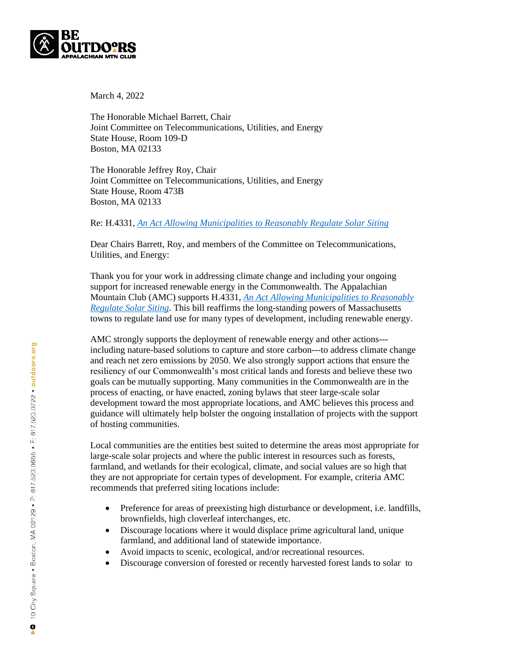

March 4, 2022

The Honorable Michael Barrett, Chair Joint Committee on Telecommunications, Utilities, and Energy State House, Room 109-D Boston, MA 02133

The Honorable Jeffrey Roy, Chair Joint Committee on Telecommunications, Utilities, and Energy State House, Room 473B Boston, MA 02133

Re: H.4331, *[An Act Allowing Municipalities to Reasonably Regulate Solar Siting](file:///C:/Users/ksykes/Desktop/AMC-Materials/An%20Act%20allowing%20municipalities%20to%20reasonably%20regulate%20solar%20siting)*

Dear Chairs Barrett, Roy, and members of the Committee on Telecommunications, Utilities, and Energy:

Thank you for your work in addressing climate change and including your ongoing support for increased renewable energy in the Commonwealth. The Appalachian Mountain Club (AMC) supports H.4331, *[An Act Allowing Municipalities to Reasonably](file:///C:/Users/ksykes/Desktop/AMC-Materials/An%20Act%20allowing%20municipalities%20to%20reasonably%20regulate%20solar%20siting)  [Regulate Solar Siting](file:///C:/Users/ksykes/Desktop/AMC-Materials/An%20Act%20allowing%20municipalities%20to%20reasonably%20regulate%20solar%20siting)*. This bill reaffirms the long-standing powers of Massachusetts towns to regulate land use for many types of development, including renewable energy.

AMC strongly supports the deployment of renewable energy and other actions-- including nature-based solutions to capture and store carbon---to address climate change and reach net zero emissions by 2050. We also strongly support actions that ensure the resiliency of our Commonwealth's most critical lands and forests and believe these two goals can be mutually supporting. Many communities in the Commonwealth are in the process of enacting, or have enacted, zoning bylaws that steer large-scale solar development toward the most appropriate locations, and AMC believes this process and guidance will ultimately help bolster the ongoing installation of projects with the support of hosting communities.

Local communities are the entities best suited to determine the areas most appropriate for large-scale solar projects and where the public interest in resources such as forests, farmland, and wetlands for their ecological, climate, and social values are so high that they are not appropriate for certain types of development. For example, criteria AMC recommends that preferred siting locations include:

- Preference for areas of preexisting high disturbance or development, i.e. landfills, brownfields, high cloverleaf interchanges, etc.
- Discourage locations where it would displace prime agricultural land, unique farmland, and additional land of statewide importance.
- Avoid impacts to scenic, ecological, and/or recreational resources.
- Discourage conversion of forested or recently harvested forest lands to solar to